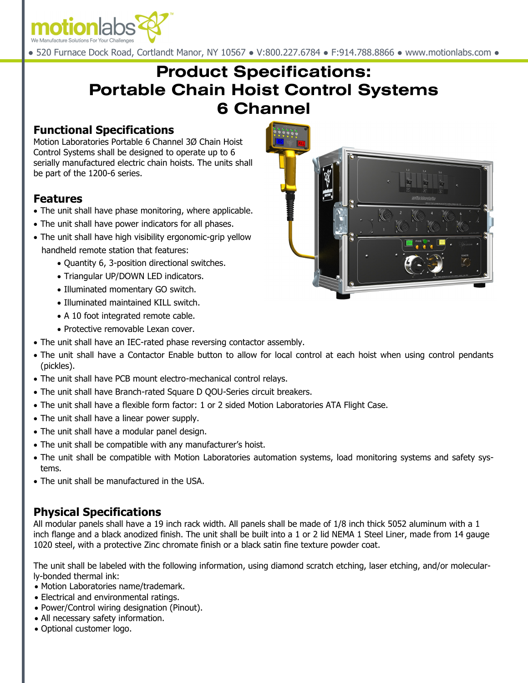

● 520 Furnace Dock Road, Cortlandt Manor, NY 10567 ● V:800.227.6784 ● F:914.788.8866 ● www.motionlabs.com ●

# **Product Specifications: Portable Chain Hoist Control Systems 6 Channel**

#### **Functional Specifications**

Motion Laboratories Portable 6 Channel 3Ø Chain Hoist Control Systems shall be designed to operate up to 6 serially manufactured electric chain hoists. The units shall be part of the 1200-6 series.

#### **Features**

- The unit shall have phase monitoring, where applicable.
- The unit shall have power indicators for all phases.
- The unit shall have high visibility ergonomic-grip yellow handheld remote station that features:
	- Quantity 6, 3-position directional switches.
	- Triangular UP/DOWN LED indicators.
	- Illuminated momentary GO switch.
	- Illuminated maintained KILL switch.
	- A 10 foot integrated remote cable.
	- Protective removable Lexan cover.
- The unit shall have an IEC-rated phase reversing contactor assembly.
- The unit shall have a Contactor Enable button to allow for local control at each hoist when using control pendants (pickles).
- The unit shall have PCB mount electro-mechanical control relays.
- The unit shall have Branch-rated Square D QOU-Series circuit breakers.
- The unit shall have a flexible form factor: 1 or 2 sided Motion Laboratories ATA Flight Case.
- The unit shall have a linear power supply.
- The unit shall have a modular panel design.
- The unit shall be compatible with any manufacturer's hoist.
- The unit shall be compatible with Motion Laboratories automation systems, load monitoring systems and safety systems.
- The unit shall be manufactured in the USA.

#### **Physical Specifications**

All modular panels shall have a 19 inch rack width. All panels shall be made of 1/8 inch thick 5052 aluminum with a 1 inch flange and a black anodized finish. The unit shall be built into a 1 or 2 lid NEMA 1 Steel Liner, made from 14 gauge 1020 steel, with a protective Zinc chromate finish or a black satin fine texture powder coat.

The unit shall be labeled with the following information, using diamond scratch etching, laser etching, and/or molecularly-bonded thermal ink:

- Motion Laboratories name/trademark.
- Electrical and environmental ratings.
- Power/Control wiring designation (Pinout).
- All necessary safety information.
- Optional customer logo.